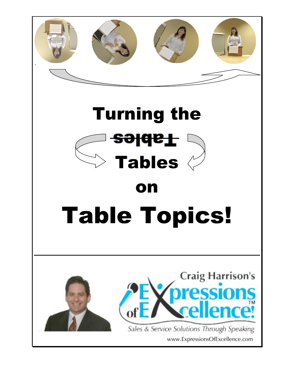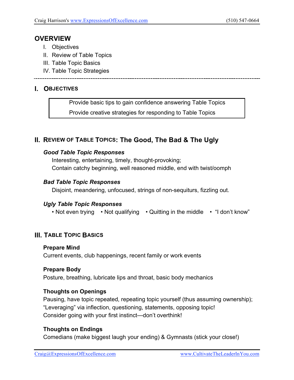#### **OVERVIEW**

- I. Objectives
- II. Review of Table Topics
- III. Table Topic Basics
- IV. Table Topic Strategies

#### **I. OBJECTIVES**

 Provide basic tips to gain confidence answering Table Topics Provide creative strategies for responding to Table Topics

#### **II. REVIEW OF TABLE TOPICS: The Good, The Bad & The Ugly**

#### *Good Table Topic Responses*

Interesting, entertaining, timely, thought-provoking; Contain catchy beginning, well reasoned middle, end with twist/oomph

#### *Bad Table Topic Responses*

Disjoint, meandering, unfocused, strings of non-sequiturs, fizzling out.

#### *Ugly Table Topic Responses*

• Not even trying • Not qualifying • Quitting in the middle • "I don't know"

#### **III. TABLE TOPIC BASICS**

#### **Prepare Mind**

Current events, club happenings, recent family or work events

#### **Prepare Body**

Posture, breathing, lubricate lips and throat, basic body mechanics

#### **Thoughts on Openings**

 Pausing, have topic repeated, repeating topic yourself (thus assuming ownership); "Leveraging" via inflection, questioning, statements, opposing topic! Consider going with your first instinct—don't overthink!

#### **Thoughts on Endings**

Comedians (make biggest laugh your ending) & Gymnasts (stick your close!)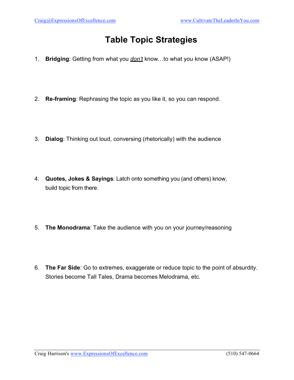# **Table Topic Strategies**

- 1. **Bridging**: Getting from what you *don't* know…to what you know (ASAP!)
- 2. **Re-framing**: Rephrasing the topic as you like it, so you can respond.
- 3. **Dialog**: Thinking out loud, conversing (rhetorically) with the audience
- 4. **Quotes, Jokes & Sayings**: Latch onto something you (and others) know, build topic from there.
- 5. **The Monodrama**: Take the audience with you on your journey/reasoning
- 6. **The Far Side**: Go to extremes, exaggerate or reduce topic to the point of absurdity. Stories become Tall Tales, Drama becomes Melodrama, etc.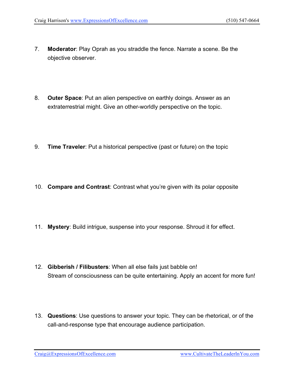- 7. **Moderator**: Play Oprah as you straddle the fence. Narrate a scene. Be the objective observer.
- 8. **Outer Space**: Put an alien perspective on earthly doings. Answer as an extraterrestrial might. Give an other-worldly perspective on the topic.
- 9. **Time Traveler**: Put a historical perspective (past or future) on the topic
- 10. **Compare and Contrast**: Contrast what you're given with its polar opposite
- 11. **Mystery**: Build intrigue, suspense into your response. Shroud it for effect.
- 12. **Gibberish / Filibusters**: When all else fails just babble on! Stream of consciousness can be quite entertaining. Apply an accent for more fun!
- 13. **Questions**: Use questions to answer your topic. They can be rhetorical, or of the call-and-response type that encourage audience participation.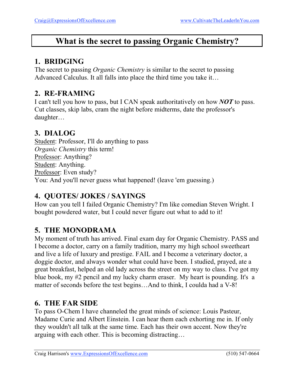# **What is the secret to passing Organic Chemistry?**

### **1. BRIDGING**

The secret to passing *Organic Chemistry* is similar to the secret to passing Advanced Calculus. It all falls into place the third time you take it…

### **2. RE-FRAMING**

I can't tell you how to pass, but I CAN speak authoritatively on how *NOT* to pass. Cut classes, skip labs, cram the night before midterms, date the professor's daughter…

## **3. DIALOG**

Student: Professor, I'll do anything to pass *Organic Chemistry* this term! Professor: Anything? Student: Anything. Professor: Even study? You: And you'll never guess what happened! (leave 'em guessing.)

## **4. QUOTES/ JOKES / SAYINGS**

How can you tell I failed Organic Chemistry? I'm like comedian Steven Wright. I bought powdered water, but I could never figure out what to add to it!

## **5. THE MONODRAMA**

My moment of truth has arrived. Final exam day for Organic Chemistry. PASS and I become a doctor, carry on a family tradition, marry my high school sweetheart and live a life of luxury and prestige. FAIL and I become a veterinary doctor, a doggie doctor, and always wonder what could have been. I studied, prayed, ate a great breakfast, helped an old lady across the street on my way to class. I've got my blue book, my #2 pencil and my lucky charm eraser. My heart is pounding. It's a matter of seconds before the test begins…And to think, I coulda had a V-8!

### **6. THE FAR SIDE**

To pass O-Chem I have channeled the great minds of science: Louis Pasteur, Madame Curie and Albert Einstein. I can hear them each exhorting me in. If only they wouldn't all talk at the same time. Each has their own accent. Now they're arguing with each other. This is becoming distracting…